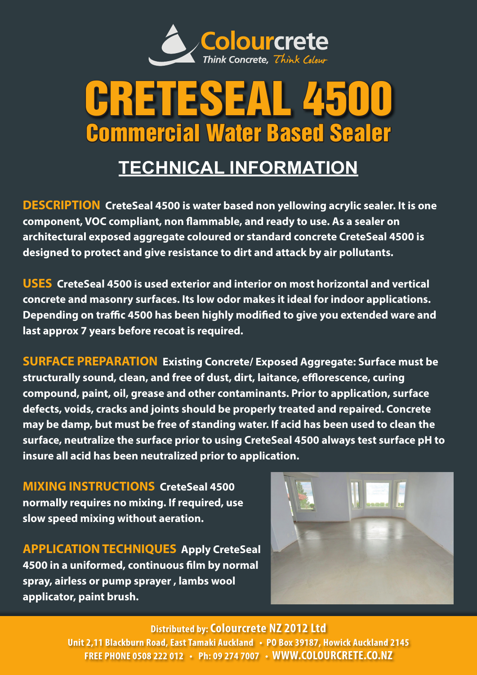

## CRETESEAL 4500 Commercial Water Based Sealer

## **TECHNICAL INFORMATION**

**DESCRIPTION CreteSeal 4500 is water based non yellowing acrylic sealer. It is one component, VOC compliant, non flammable, and ready to use. As a sealer on architectural exposed aggregate coloured or standard concrete CreteSeal 4500 is designed to protect and give resistance to dirt and attack by air pollutants.**

**USES CreteSeal 4500 is used exterior and interior on most horizontal and vertical concrete and masonry surfaces. Its low odor makes it ideal for indoor applications. Depending on traffic 4500 has been highly modified to give you extended ware and last approx 7 years before recoat is required.** 

**SURFACE PREPARATION Existing Concrete/ Exposed Aggregate: Surface must be structurally sound, clean, and free of dust, dirt, laitance, efflorescence, curing compound, paint, oil, grease and other contaminants. Prior to application, surface defects, voids, cracks and joints should be properly treated and repaired. Concrete may be damp, but must be free of standing water. If acid has been used to clean the surface, neutralize the surface prior to using CreteSeal 4500 always test surface pH to insure all acid has been neutralized prior to application.**

**MIXING INSTRUCTIONS CreteSeal 4500 normally requires no mixing. If required, use slow speed mixing without aeration.**

**APPLICATION TECHNIQUES Apply CreteSeal 4500 in a uniformed, continuous film by normal spray, airless or pump sprayer , lambs wool applicator, paint brush.** 



**Distributed by: Colourcrete NZ 2012 Ltd** 

**Unit 2,11 Blackburn Road, East Tamaki Auckland • PO Box 39187, Howick Auckland 2145 FREE PHONE 0508 222 012 • Ph: 09 274 7007 • WWW.COLOURCRETE.CO.NZ**